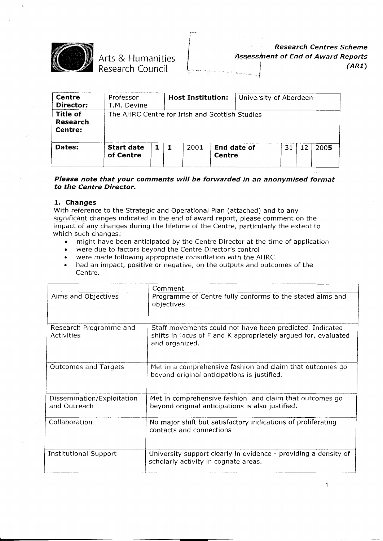

Arts & Humanities Research Council

*Research Centres Scheme ll~essi[nent* **of** *End* **of** *A ward Reports* .../ *(ARl)*

| <b>Centre</b><br>Director:                    | Professor<br>T.M. Devine                       |  | <b>Host Institution:</b> |        | University of Aberdeen |    |    |      |
|-----------------------------------------------|------------------------------------------------|--|--------------------------|--------|------------------------|----|----|------|
| <b>Title of</b><br><b>Research</b><br>Centre: | The AHRC Centre for Irish and Scottish Studies |  |                          |        |                        |    |    |      |
| Dates:                                        | <b>Start date</b><br>of Centre                 |  | 2001                     | Centre | End date of            | 31 | 12 | 2005 |

#### *Please note that your comments will be forwarded in an anonymised format* **to** *the Centre Director.*

#### **1. Changes**

With reference to the Strategic and Operational Plan (attached) and to any significant changes indicated in the end of award report, please comment on the impact of any changes during the lifetime of the Centre, particularly the extent to which such changes:

- . might have been anticipated by the Centre Director at the time of application
- . were due to factors beyond the Centre Director's control
- were made following appropriate consultation with the AHRC<br>• had an impact, positive or negative, on the outputs and outcome
- . had an impact, positive or negative, on the outputs and outcomes of the Centre.

|                                            | Comment                                                                                                                                      |
|--------------------------------------------|----------------------------------------------------------------------------------------------------------------------------------------------|
| Aims and Objectives                        | Programme of Centre fully conforms to the stated aims and<br>objectives                                                                      |
| Research Programme and<br>Activities       | Staff movements could not have been predicted. Indicated<br>shifts in focus of F and K appropriately argued for, evaluated<br>and organized. |
| <b>Outcomes and Targets</b>                | Met in a comprehensive fashion and claim that outcomes go<br>beyond original anticipations is justified.                                     |
| Dissemination/Exploitation<br>and Outreach | Met in comprehensive fashion and claim that outcomes go<br>beyond original anticipations is also justified.                                  |
| Collaboration                              | No major shift but satisfactory indications of proliferating<br>contacts and connections                                                     |
| <b>Institutional Support</b>               | University support clearly in evidence - providing a density of<br>scholarly activity in cognate areas.                                      |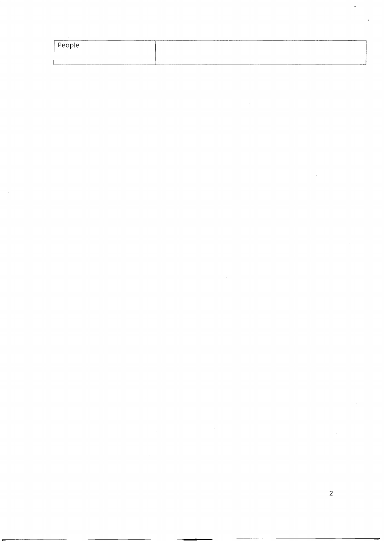| ______<br>People |           | .              |
|------------------|-----------|----------------|
|                  |           |                |
| -----            | --------- | ______<br>____ |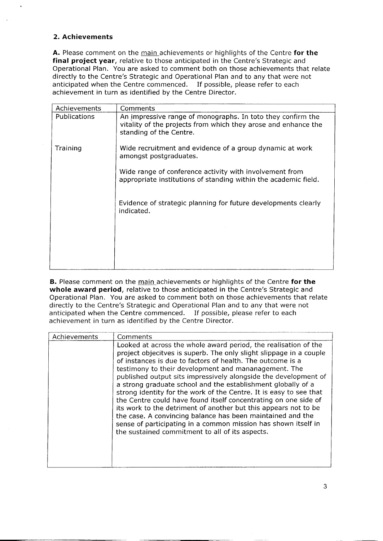# **2. Achievements**

**A.** Please comment on the main achievements or highlights of the Centre **for the final project year,** relative to those anticipated in the Centre's Strategic and Operational Plan. You are asked to comment both on those achievements that relate directly to the Centre's Strategic and Operational Plan and to any that were not anticipated when the Centre commenced. If possible, please refer to each achievement in turn as identified by the Centre Director.

| Achievements | Comments                                                                                                                                                 |
|--------------|----------------------------------------------------------------------------------------------------------------------------------------------------------|
| Publications | An impressive range of monographs. In toto they confirm the<br>vitality of the projects from which they arose and enhance the<br>standing of the Centre. |
| Training     | Wide recruitment and evidence of a group dynamic at work<br>amongst postgraduates.                                                                       |
|              | Wide range of conference activity with involvement from<br>appropriate institutions of standing within the academic field.                               |
|              | Evidence of strategic planning for future developments clearly<br>indicated.                                                                             |
|              |                                                                                                                                                          |
|              |                                                                                                                                                          |

**B.** Please comment on the main achievements or highlights of the Centre **for the whole award period,** relative to those anticipated in the Centre's Strategic and Operational Plan. You are asked to comment both on those achievements that relate directly to the Centre's Strategic and Operational Plan and to any that were not anticipated when the Centre commenced. If possible, please refer to each achievement in turn as identified by the Centre Director.

| Achievements | Comments                                                                                                                                                                                                                                                                                                                                                                                                                                                                                                                                                                                                                                                                                                                                                                                      |
|--------------|-----------------------------------------------------------------------------------------------------------------------------------------------------------------------------------------------------------------------------------------------------------------------------------------------------------------------------------------------------------------------------------------------------------------------------------------------------------------------------------------------------------------------------------------------------------------------------------------------------------------------------------------------------------------------------------------------------------------------------------------------------------------------------------------------|
|              | Looked at across the whole award period, the realisation of the<br>project objecitves is superb. The only slight slippage in a couple<br>of instances is due to factors of health. The outcome is a<br>testimony to their development and mananagement. The<br>published output sits impressively alongside the development of<br>a strong graduate school and the establishment globally of a<br>strong identity for the work of the Centre. It is easy to see that<br>the Centre could have found itself concentrating on one side of<br>its work to the detriment of another but this appears not to be<br>the case. A convincing balance has been maintained and the<br>sense of participating in a common mission has shown itself in<br>the sustained commitment to all of its aspects. |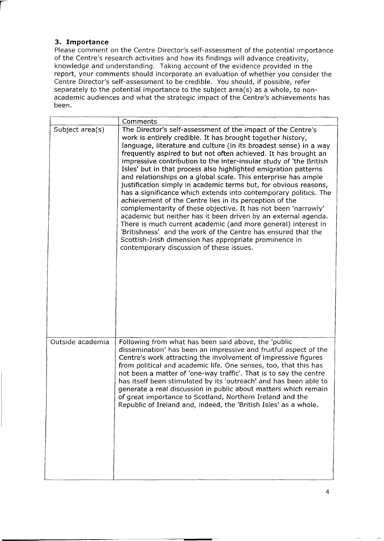# **3. Importance**

I

Please comment on the Centre Director's self-assessment of the potential importance of the Centre's research activities and how its findings will advance creativity, knowledge and understanding. Taking account of the evidence provided in the report, your comments should incorporate an evaluation of whether you consider the Centre Director's self-assessment to be credible. You should, if possible, refer separately to the potential importance to the subject area(s) as a whole, to nonacademic audiences and what the strategic impact of the Centre's achievements has been.

|                  | Comments                                                                                                                                                                                                                                                                                                                                                                                                                                                                                                                                                                                                                                                                                                                                                                                                                                                                                                                                                                                                                                                      |
|------------------|---------------------------------------------------------------------------------------------------------------------------------------------------------------------------------------------------------------------------------------------------------------------------------------------------------------------------------------------------------------------------------------------------------------------------------------------------------------------------------------------------------------------------------------------------------------------------------------------------------------------------------------------------------------------------------------------------------------------------------------------------------------------------------------------------------------------------------------------------------------------------------------------------------------------------------------------------------------------------------------------------------------------------------------------------------------|
| Subject area(s)  | The Director's self-assessment of the impact of the Centre's<br>work is entirely credible. It has brought together history,<br>language, literature and culture (in its broadest sense) in a way<br>frequently aspired to but not often achieved. It has brought an<br>impressive contribution to the inter-insular study of 'the British<br>Isles' but in that process also highlighted emigration patterns<br>and relationships on a global scale. This enterprise has ample<br>justification simply in academic terms but, for obvious reasons,<br>has a significance which extends into contemporary politics. The<br>achievement of the Centre lies in its perception of the<br>complementarity of these objective. It has not been 'narrowly'<br>academic but neither has it been driven by an external agenda.<br>There is much current academic (and more general) interest in<br>'Britishness' and the work of the Centre has ensured that the<br>Scottish-Irish dimension has appropriate prominence in<br>contemporary discussion of these issues. |
| Outside academia | Following from what has been said above, the 'public<br>dissemination' has been an impressive and fruitful aspect of the<br>Centre's work attracting the involvement of impressive figures<br>from political and academic life. One senses, too, that this has<br>not been a matter of 'one-way traffic'. That is to say the centre<br>has itself been stimulated by its 'outreach' and has been able to<br>generate a real discussion in public about matters which remain<br>of great importance to Scotland, Northern Ireland and the<br>Republic of Ireland and, indeed, the 'British Isles' as a whole.                                                                                                                                                                                                                                                                                                                                                                                                                                                  |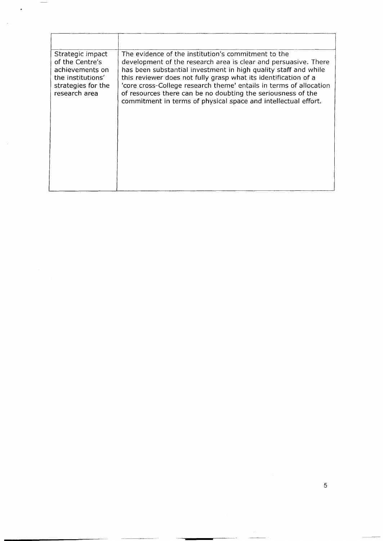| Strategic impact<br>of the Centre's<br>achievements on<br>the institutions'<br>strategies for the<br>research area | The evidence of the institution's commitment to the<br>development of the research area is clear and persuasive. There<br>has been substantial investment in high quality staff and while<br>this reviewer does not fully grasp what its identification of a<br>'core cross-College research theme' entails in terms of allocation<br>of resources there can be no doubting the seriousness of the<br>commitment in terms of physical space and intellectual effort. |
|--------------------------------------------------------------------------------------------------------------------|----------------------------------------------------------------------------------------------------------------------------------------------------------------------------------------------------------------------------------------------------------------------------------------------------------------------------------------------------------------------------------------------------------------------------------------------------------------------|

 $\mathbf{f}$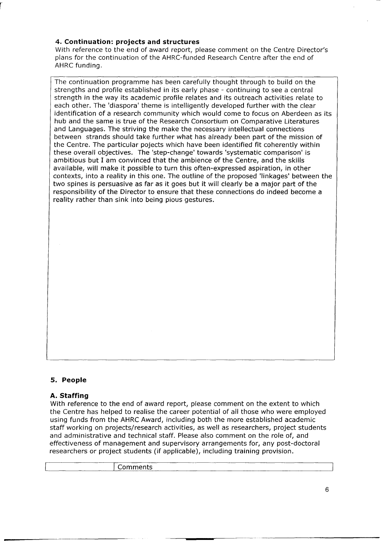# **4. Continuation: projects and structures**

r

With reference to the end of award report, please comment on the Centre Director's plans for the continuation of the AHRC-funded Research Centre after the end of AHRC funding.

The continuation programme has been carefully thought through to build on the strengths and profile established in its early phase - continuing to see a central strength in the way its academic profile relates and its outreach activities relate to each other. The 'diaspora' theme is intelligently developed further with the clear identification of a research community which would come to focus on Aberdeen as its hub and the same is true of the Research Consortium on Comparative Literatures and Languages. The striving the make the necessary intellectual connections between strands should take further what has already been part of the mission of the Centre. The particular pojects which have been identified fit coherently within these overall objectives. The 'step-change' towards 'systematic comparison' is ambitious but I am convinced that the ambience of the Centre, and the skills available, will make it possible to turn this often-expressed aspiration, in other contexts, into a reality in this one. The outline of the proposed 'linkages' between the two spines is persuasive as far as it goes but it will clearly be a major part of the responsibility of the Director to ensure that these connections do indeed become a reality rather than sink into being pious gestures.

## **S. People**

## **A. Staffing**

With reference to the end of award report, please comment on the extent to which the Centre has helped to realise the career potential of all those who were employed using funds from the AHRC Award, including both the more established academic staff working on projects/research activities, as well as researchers, project students and administrative and technical staff. Please also comment on the role of, and effectiveness of management and supervisory arrangements for, any post-doctoral researchers or project students (if applicable), including training provision.

**Comments**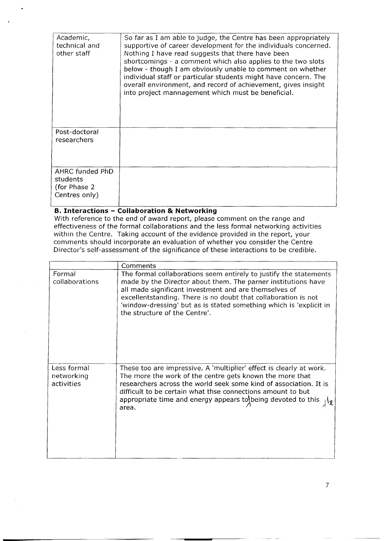| Academic,<br>technical and<br>other staff                    | So far as I am able to judge, the Centre has been appropriately<br>supportive of career development for the individuals concerned.<br>Nothing I have read suggests that there have been<br>shortcomings - a comment which also applies to the two slots<br>below - though I am obviously unable to comment on whether<br>individual staff or particular students might have concern. The<br>overall environment, and record of achievement, gives insight<br>into project mannagement which must be beneficial. |
|--------------------------------------------------------------|-----------------------------------------------------------------------------------------------------------------------------------------------------------------------------------------------------------------------------------------------------------------------------------------------------------------------------------------------------------------------------------------------------------------------------------------------------------------------------------------------------------------|
| Post-doctoral<br>researchers                                 |                                                                                                                                                                                                                                                                                                                                                                                                                                                                                                                 |
|                                                              |                                                                                                                                                                                                                                                                                                                                                                                                                                                                                                                 |
| AHRC funded PhD<br>students<br>(for Phase 2<br>Centres only) |                                                                                                                                                                                                                                                                                                                                                                                                                                                                                                                 |

#### **B. Interactions - Collaboration & Networking**

With reference to the end of award report, please comment on the range and effectiveness of the formal collaborations and the less formal networking activities within the Centre. Taking account of the evidence provided in the report, your comments should incorporate an evaluation of whether you consider the Centre Director's self-assessment of the significance of these interactions to be credible.

|                                         | Comments                                                                                                                                                                                                                                                                                                                                                             |
|-----------------------------------------|----------------------------------------------------------------------------------------------------------------------------------------------------------------------------------------------------------------------------------------------------------------------------------------------------------------------------------------------------------------------|
| Formal<br>collaborations                | The formal collaborations seem entirely to justify the statements<br>made by the Director about them. The parner institutions have<br>all made significant investment and are themselves of<br>excellentstanding. There is no doubt that collaboration is not<br>'window-dressing' but as is stated something which is 'explicit in<br>the structure of the Centre'. |
| Less formal<br>networking<br>activities | These too are impressive. A 'multiplier' effect is clearly at work.<br>The more the work of the centre gets known the more that<br>researchers across the world seek some kind of association. It is<br>difficult to be certain what thse connections amount to but<br>appropriate time and energy appears to being devoted to this<br>area.                         |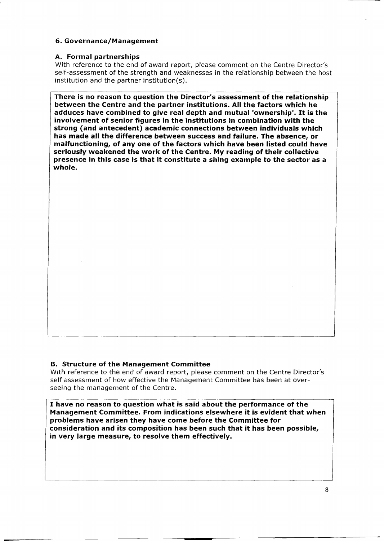## **6. Governance/Management**

## **A. Formal partnerships**

With reference to the end of award report, please comment on the Centre Director's self-assessment of the strength and weaknesses in the relationship between the host institution and the partner institution(s).

**There is no reason to question the Director's assessment of the relationship between the Centre and the partner institutions. All the factors which he adduces have combined to give real depth and mutual 'ownership'.** It **is the involvement of senior figures in the institutions in combination with the strong (and antecedent) academic connections between individuals which has made all the difference between success and failure. The absence, or malfunctioning, of anyone of the factors which have been listed could have seriously weakened the work of the Centre. My reading of their collective presence in this case is that itconstitute a shing example to the sector as a whole.**

# **B.** Structure of the Management Committee

With reference to the end of award report, please comment on the Centre Director's self assessment of how effective the Management Committee has been at overseeing the management of the Centre.

**I have no reason to question what is said about the performance of the Management Committee. From indications elsewhere it is evident that when problems have arisen they have come before the Committee for consideration and its composition has been such that it has been possible, in very large measure, to resolve them effectively.**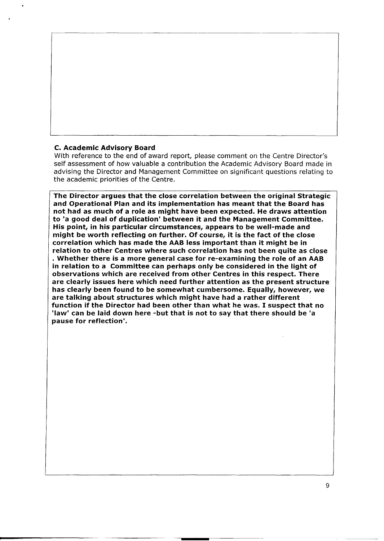### C. Academic Advisory Board

With reference to the end of award report, please comment on the Centre Director's self assessment of how valuable a contribution the Academic Advisory Board made in advising the Director and Management Committee on significant questions relating to the academic priorities of the Centre.

The Director argues that the close correlation between the original Strategic and Operational Plan and its implementation has meant that the Board has not had as much of a role as might have been expected. He draws attention to 'a good deal of duplication' between it and the Management Committee. His point, in his particular circumstances, appears to be well-made and might be worth reflecting on further. Of course, it is the fact of the close correlation which has made the AAB less important than it might be in relation to other Centres where such correlation has not been quite as close . Whether there is <sup>a</sup> more general case for re-examining the role of an AAB in relation to a Committee can perhaps only be considered in the light of observations which are received from other Centres in this respect. There are clearly issues here which need further attention as the present structure has clearly been found to be somewhat cumbersome. Equally, however, we are talking about structures which might have had a rather different function if the Director had been other than what he was. I suspect that no 'law' can be laid down here -but that is not to say that there should be 'a pause for reflection'.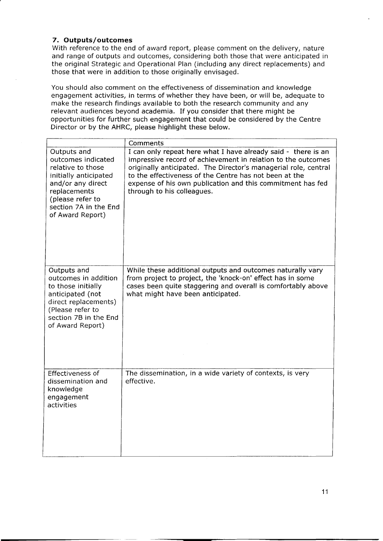# **7. Outputs/outcomes**

With reference to the end of award report, please comment on the delivery, nature and range of outputs and outcomes, considering both those that were anticipated in the original Strategic and Operational Plan (including any direct replacements) and those that were in addition to those originally envisaged.

You should also comment on the effectiveness of dissemination and knowledge engagement activities, in terms of whether they have been, or will be, adequate to make the research findings available to both the research community and any relevant audiences beyond academia. If you consider that there might be opportunities for further such engagement that could be considered by the Centre Director or by the AHRC, please highlight these below.

|                                                                                                                                                                                       | Comments                                                                                                                                                                                                                                                                                                                                               |
|---------------------------------------------------------------------------------------------------------------------------------------------------------------------------------------|--------------------------------------------------------------------------------------------------------------------------------------------------------------------------------------------------------------------------------------------------------------------------------------------------------------------------------------------------------|
| Outputs and<br>outcomes indicated<br>relative to those<br>initially anticipated<br>and/or any direct<br>replacements<br>(please refer to<br>section 7A in the End<br>of Award Report) | I can only repeat here what I have already said - there is an<br>impressive record of achievement in relation to the outcomes<br>originally anticipated. The Director's managerial role, central<br>to the effectiveness of the Centre has not been at the<br>expense of his own publication and this commitment has fed<br>through to his colleagues. |
| Outputs and<br>outcomes in addition<br>to those initially<br>anticipated (not<br>direct replacements)<br>(Please refer to<br>section 7B in the End<br>of Award Report)                | While these additional outputs and outcomes naturally vary<br>from project to project, the 'knock-on' effect has in some<br>cases been quite staggering and overall is comfortably above<br>what might have been anticipated.                                                                                                                          |
| Effectiveness of<br>dissemination and<br>knowledge<br>engagement<br>activities                                                                                                        | The dissemination, in a wide variety of contexts, is very<br>effective.                                                                                                                                                                                                                                                                                |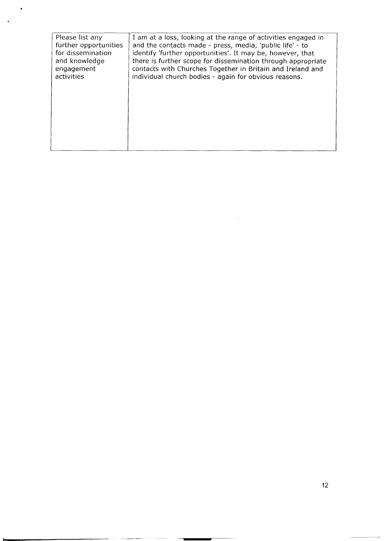| Please list any       | I am at a loss, looking at the range of activities engaged in |
|-----------------------|---------------------------------------------------------------|
| further opportunities | and the contacts made - press, media, 'public life' - to      |
| for dissemination     | identify 'further opportunities'. It may be, however, that    |
| and knowledge         | there is further scope for dissemination through appropriate  |
| engagement            | contacts with Churches Together in Britain and Ireland and    |
| activities            | individual church bodies - again for obvious reasons.         |
|                       |                                                               |